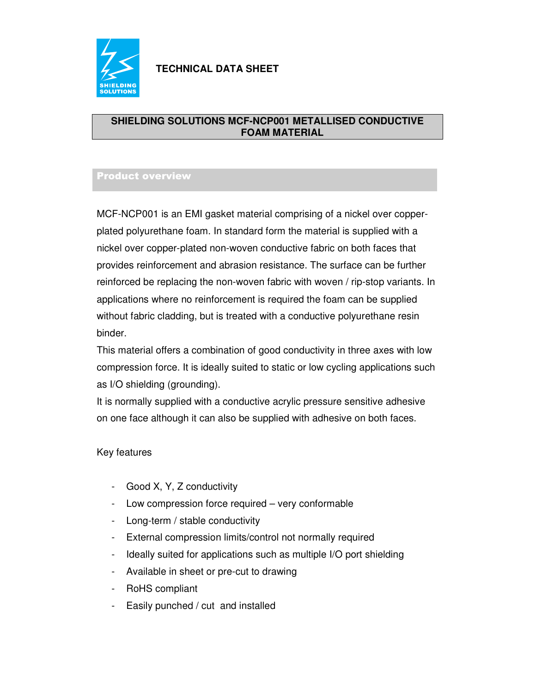

#### **SHIELDING SOLUTIONS MCF-NCP001 METALLISED CONDUCTIVE FOAM MATERIAL**

### Product overview

MCF-NCP001 is an EMI gasket material comprising of a nickel over copperplated polyurethane foam. In standard form the material is supplied with a nickel over copper-plated non-woven conductive fabric on both faces that provides reinforcement and abrasion resistance. The surface can be further reinforced be replacing the non-woven fabric with woven / rip-stop variants. In applications where no reinforcement is required the foam can be supplied without fabric cladding, but is treated with a conductive polyurethane resin binder.

This material offers a combination of good conductivity in three axes with low compression force. It is ideally suited to static or low cycling applications such as I/O shielding (grounding).

It is normally supplied with a conductive acrylic pressure sensitive adhesive on one face although it can also be supplied with adhesive on both faces.

#### Key features

- Good X, Y, Z conductivity
- Low compression force required very conformable
- Long-term / stable conductivity
- External compression limits/control not normally required
- Ideally suited for applications such as multiple I/O port shielding
- Available in sheet or pre-cut to drawing
- RoHS compliant
- Easily punched / cut and installed